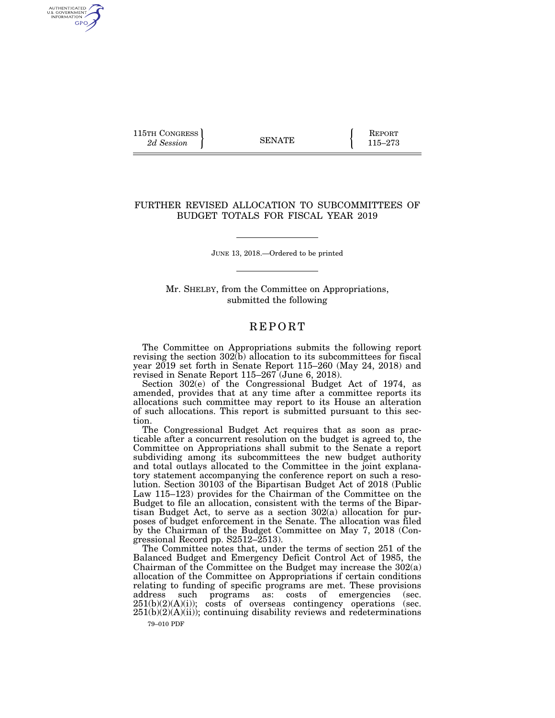115TH CONGRESS **REPORT** 2d Session **115–273** 

AUTHENTICATED<br>U.S. GOVERNMENT<br>INFORMATION GPO

## FURTHER REVISED ALLOCATION TO SUBCOMMITTEES OF BUDGET TOTALS FOR FISCAL YEAR 2019

JUNE 13, 2018.—Ordered to be printed

Mr. SHELBY, from the Committee on Appropriations, submitted the following

## **REPORT**

The Committee on Appropriations submits the following report revising the section  $302(b)$  allocation to its subcommittees for fiscal year 2019 set forth in Senate Report 115–260 (May 24, 2018) and revised in Senate Report 115–267 (June 6, 2018).

Section 302(e) of the Congressional Budget Act of 1974, as amended, provides that at any time after a committee reports its allocations such committee may report to its House an alteration of such allocations. This report is submitted pursuant to this section.

The Congressional Budget Act requires that as soon as practicable after a concurrent resolution on the budget is agreed to, the Committee on Appropriations shall submit to the Senate a report subdividing among its subcommittees the new budget authority and total outlays allocated to the Committee in the joint explanatory statement accompanying the conference report on such a resolution. Section 30103 of the Bipartisan Budget Act of 2018 (Public Law 115–123) provides for the Chairman of the Committee on the Budget to file an allocation, consistent with the terms of the Bipartisan Budget Act, to serve as a section 302(a) allocation for purposes of budget enforcement in the Senate. The allocation was filed by the Chairman of the Budget Committee on May 7, 2018 (Congressional Record pp. S2512–2513).

The Committee notes that, under the terms of section 251 of the Balanced Budget and Emergency Deficit Control Act of 1985, the Chairman of the Committee on the Budget may increase the 302(a) allocation of the Committee on Appropriations if certain conditions relating to funding of specific programs are met. These provisions address such programs as: costs of emergencies (sec.  $251(b)(2)(A)(i)$ ; costs of overseas contingency operations (sec.  $251(b)(2)(A)(ii)$ ; continuing disability reviews and redeterminations

79–010 PDF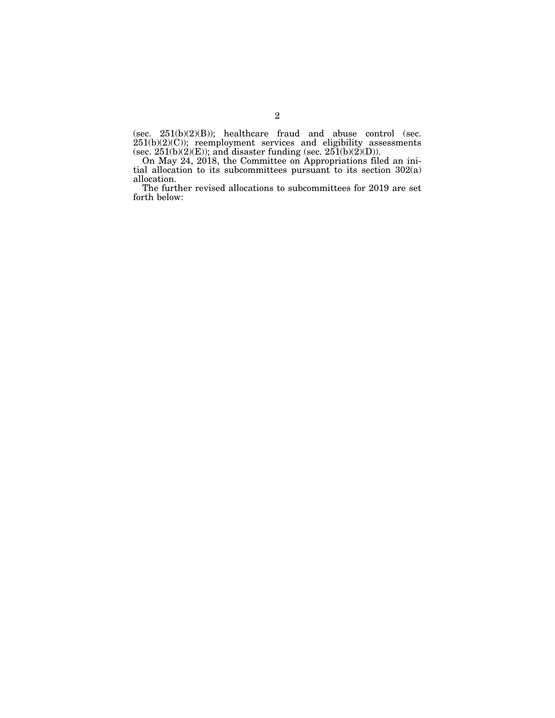(sec.  $251(b)(2)(B)$ ); healthcare fraud and abuse control (sec.  $251(b)(2)(C)$ ; reemployment services and eligibility assessments (sec.  $251(b)(2)(E)$ ); and disaster funding (sec.  $251(b)(2)(D)$ ).

On May 24, 2018, the Committee on Appropriations filed an initial allocation to its subcommittees pursuant to its section 302(a) allocation.

The further revised allocations to subcommittees for 2019 are set forth below: